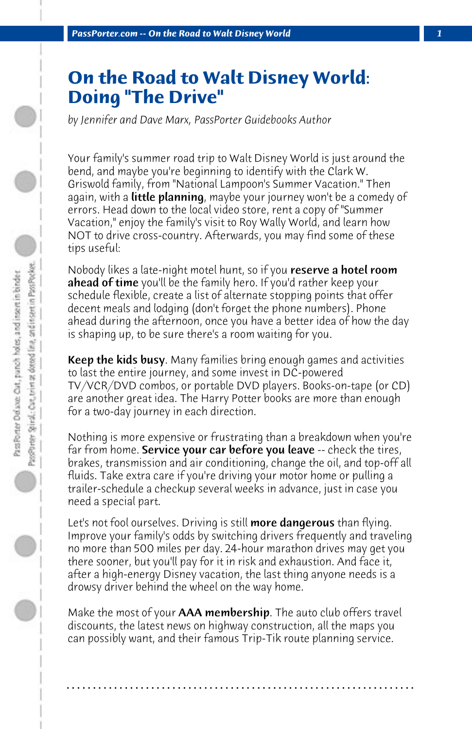## **On the Road to Walt Disney World: Doing "The Drive"**

*by Jennifer and Dave Marx, PassPorter Guidebooks Author*

Your family's summer road trip to Walt Disney World is just around the bend, and maybe you're beginning to identify with the Clark W. Griswold family, from "National Lampoon's Summer Vacation." Then again, with a **little planning**, maybe your journey won't be a comedy of errors. Head down to the local video store, rent a copy of "Summer Vacation," enjoy the family's visit to Roy Wally World, and learn how NOT to drive cross-country. Afterwards, you may find some of these tips useful:

Nobody likes a late-night motel hunt, so if you **reserve a hotel room ahead of time** you'll be the family hero. If you'd rather keep your schedule flexible, create a list of alternate stopping points that offer decent meals and lodging (don't forget the phone numbers). Phone ahead during the afternoon, once you have a better idea of how the day is shaping up, to be sure there's a room waiting for you.

Keep the kids busy. Many families bring enough games and activities to last the entire journey, and some invest in DC-powered TV/VCR/DVD combos, or portable DVD players. Books-on-tape (or CD) are another great idea. The Harry Potter books are more than enough for a two-day journey in each direction.

Nothing is more expensive or frustrating than a breakdown when you're far from home. Service your car before you leave -- check the tires, brakes, transmission and air conditioning, change the oil, and top-off all fluids. Take extra care if you're driving your motor home or pulling a trailer-schedule a checkup several weeks in advance, just in case you need a special part.

Let's not fool ourselves. Driving is still **more dangerous** than flying. Improve your family's odds by switching drivers frequently and traveling no more than 500 miles per day. 24-hour marathon drives may get you there sooner, but you'll pay for it in risk and exhaustion. And face it, after a high-energy Disney vacation, the last thing anyone needs is a drowsy driver behind the wheel on the way home.

Make the most of your **AAA membership**. The auto club offers travel discounts, the latest news on highway construction, all the maps you can possibly want, and their famous Trip-Tik route planning service.

**. . . . . . . . . . . . . . . . . . . . . . . . . . . . . . . . . . . . . . . . . . . . . . . . . . . . . . . . . . . . . . . . . .**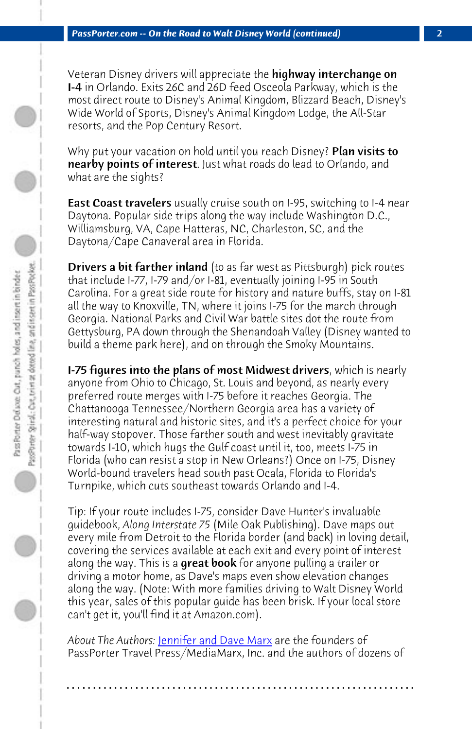**PassPorter.com -- On the Road to Walt Disney World (continued)** 

Veteran Disney drivers will appreciate the **highway interchange on** I-4 in Orlando. Exits 26C and 26D feed Osceola Parkway, which is the most direct route to Disney's Animal Kingdom, Blizzard Beach, Disney's Wide World of Sports, Disney's Animal Kingdom Lodge, the All-Star resorts, and the Pop Century Resort.

Why put your vacation on hold until you reach Disney? Plan visits to nearby points of interest. Just what roads do lead to Orlando, and what are the sights?

East Coast travelers usually cruise south on I-95, switching to I-4 near Daytona. Popular side trips along the way include Washington D.C., Williamsburg, VA, Cape Hatteras, NC, Charleston, SC, and the Daytona/Cape Canaveral area in Florida.

Drivers a bit farther inland (to as far west as Pittsburgh) pick routes that include I-77, I-79 and/or I-81, eventually joining I-95 in South Carolina. For a great side route for history and nature buffs, stay on I-81 all the way to Knoxville, TN, where it joins I-75 for the march through Georgia. National Parks and Civil War battle sites dot the route from Gettysburg, PA down through the Shenandoah Valley (Disney wanted to build a theme park here), and on through the Smoky Mountains.

**I-75 figures into the plans of most Midwest drivers**, which is nearly anyone from Ohio to Chicago, St. Louis and beyond, as nearly every preferred route merges with I-75 before it reaches Georgia. The Chattanooga Tennessee/Northern Georgia area has a variety of interesting natural [and historic sites, and it](http://www.passporter.com/wdw/authors.htm)'s a perfect choice for your half-way stopover. Those farther south and west inevitably gravitate towards I-10, which hugs the Gulf coast until it, too, meets I-75 in Florida (who can resist a stop in New Orleans?) Once on I-75, Disney World-bound travelers head south past Ocala, Florida to Florida's Turnpike, which cuts southeast towards Orlando and I-4.

Tip: If your route includes I-75, consider Dave Hunter's invaluable guidebook, *Along Interstate 75* (Mile Oak Publishing). Dave maps out every mile from Detroit to the Florida border (and back) in loving detail, covering the services available at each exit and every point of interest along the way. This is a **great book** for anyone pulling a trailer or driving a motor home, as Dave's maps even show elevation changes along the way. (Note: With more families driving to Walt Disney World this year, sales of this popular guide has been brisk. If your local store can't get it, you'll find it at Amazon.com).

*About The Authors:* Jennifer and Dave Marx are the founders of PassPorter Travel Press/MediaMarx, Inc. and the authors of dozens of

**. . . . . . . . . . . . . . . . . . . . . . . . . . . . . . . . . . . . . . . . . . . . . . . . . . . . . . . . . . . . . . . . . .**